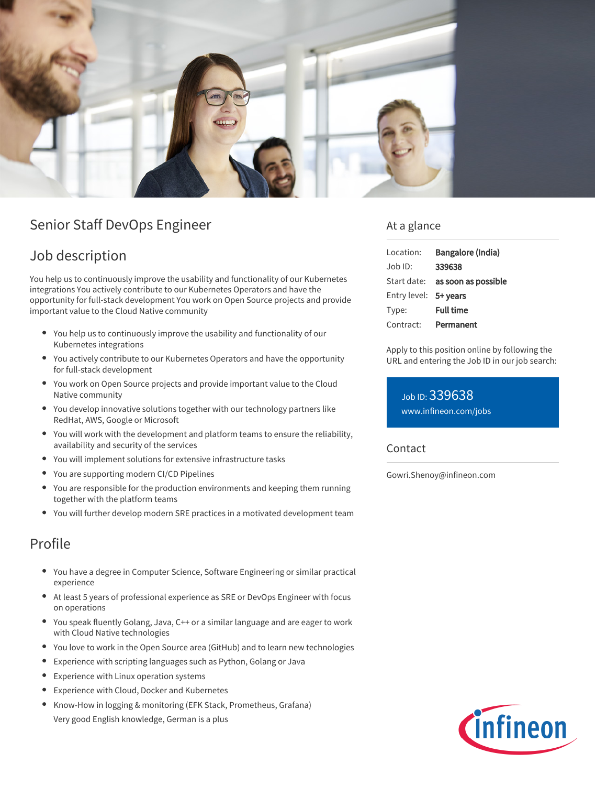

## Senior Staff DevOps Engineer

## Job description

You help us to continuously improve the usability and functionality of our Kubernetes integrations You actively contribute to our Kubernetes Operators and have the opportunity for full-stack development You work on Open Source projects and provide important value to the Cloud Native community

- You help us to continuously improve the usability and functionality of our Kubernetes integrations
- You actively contribute to our Kubernetes Operators and have the opportunity for full-stack development
- You work on Open Source projects and provide important value to the Cloud Native community
- You develop innovative solutions together with our technology partners like RedHat, AWS, Google or Microsoft
- You will work with the development and platform teams to ensure the reliability, availability and security of the services
- You will implement solutions for extensive infrastructure tasks
- You are supporting modern CI/CD Pipelines
- You are responsible for the production environments and keeping them running together with the platform teams
- You will further develop modern SRE practices in a motivated development team

## Profile

- You have a degree in Computer Science, Software Engineering or similar practical experience
- At least 5 years of professional experience as SRE or DevOps Engineer with focus on operations
- You speak fluently Golang, Java, C++ or a similar language and are eager to work with Cloud Native technologies
- You love to work in the Open Source area (GitHub) and to learn new technologies
- Experience with scripting languages such as Python, Golang or Java  $\bullet$
- $\bullet$ Experience with Linux operation systems
- $\bullet$ Experience with Cloud, Docker and Kubernetes
- Know-How in logging & monitoring (EFK Stack, Prometheus, Grafana) Very good English knowledge, German is a plus

### At a glance

| Location:             | Bangalore (India)                      |
|-----------------------|----------------------------------------|
| Job ID:               | 339638                                 |
|                       | Start date: <b>as soon as possible</b> |
| Entry level: 5+ years |                                        |
| Type:                 | <b>Full time</b>                       |
| Contract:             | Permanent                              |

Apply to this position online by following the URL and entering the Job ID in our job search:

Job ID: 339638 [www.infineon.com/jobs](https://www.infineon.com/jobs)

#### Contact

Gowri.Shenoy@infineon.com